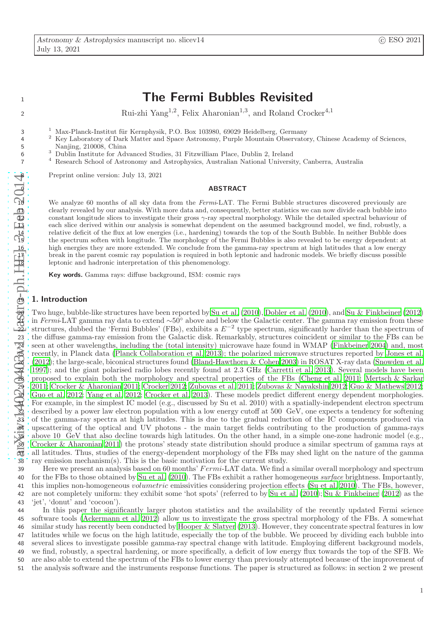# 1 1 The Fermi Bubbles Revisited

Rui-zhi Yang<sup>1,2</sup>, Felix Aharonian<sup>1,3</sup>, and Roland Crocker<sup>4,1</sup>

<sup>1</sup> Max-Planck-Institut für Kernphysik, P.O. Box 103980, 69029 Heidelberg, Germany

2 <sup>2</sup> Key Laboratory of Dark Matter and Space Astronomy, Purple Mountain Observatory, Chinese Academy of Sciences, Nanjing, 210008, China

3 6 Dublin Institute for Advanced Studies, 31 Fitzwilliam Place, Dublin 2, Ireland

4 7 Research School of Astronomy and Astrophysics, Australian National University, Canberra, Australia

8 Preprint online version: July 13, 2021

#### **ABSTRACT**

We analyze 60 months of all sky data from the Fermi-LAT. The Fermi Bubble structures discovered previously are clearly revealed by our analysis. With more data and, consequently, better statistics we can now divide each bubble into 12 constant longitude slices to investigate their gross γ-ray spectral morphology. While the detailed spectral behaviour of 13 each slice derived within our analysis is somewhat dependent on the assumed background model, we find, robustly, a relative deficit of the flux at low energies (i.e., hardening) towards the top of the South Bubble. In neither Bubble does 15 the spectrum soften with longitude. The morphology of the Fermi Bubbles is also revealed to be energy dependent: at high energies they are more extended. We conclude from the gamma-ray spectrum at high latitudes that a low energy 17 break in the parent cosmic ray population is required in both leptonic and hadronic models. We briefly discuss possible leptonic and hadronic interpretation of this phenomenology.

Key words. Gamma rays: diffuse background, ISM: cosmic rays

#### 1. Introduction

2

3

aryiy:1402.0403w1 : kastro-ph.HEE 5=E6B 2014 5 Nanjing, 210008, China<br>
6 3 Dublin Institute for Adv<br>
7 4 Research School of Astronometric Fig. 210008, China<br>
7 4 Research School of Astronometric Fig. 21<br>
11 The constant longitude slices to each slice derived with a Two huge, bubble-like structures have been reported by [Su et al. \(2010\)](#page-7-0), [Dobler et al. \(2010\)](#page-7-1), and [Su & Finkbeiner \(2012\)](#page-7-2)  $\frac{1}{21}$  in Fermi-LAT gamma ray data to extend ∼50° above and below the Galactic center. The gamma ray emission from these  $\overline{22}$  structures, dubbed the 'Fermi Bubbles' (FBs), exhibits a  $E^{-2}$  type spectrum, significantly harder than the spectrum of the diffuse gamma-ray emission from the Galactic disk. Remarkably, structures coincident or similar to the FBs can be seen at other wavelengths, including the (total intensity) microwave haze found in WMAP [\(Finkbeiner 2004\)](#page-7-3) and, most recently, in Planck data [\(Planck Collaboration et al. 2013](#page-7-4)); the polarized microwave structures reported by [Jones et al.](#page-7-5) [\(2012\)](#page-7-5); the large-scale, biconical structures found [\(Bland-Hawthorn & Cohen 2003](#page-7-6)) in ROSAT X-ray data [\(Snowden et al.](#page-7-7) ); and the giant polarised radio lobes recently found at 2.3 GHz [\(Carretti et al. 2013](#page-7-8)). Several models have been proposed to explain both the morphology and spectral properties of the FBs [\(Cheng et al. 2011;](#page-7-9) [Mertsch & Sarkar](#page-7-10) [2011](#page-7-10); [Crocker & Aharonian 2011;](#page-7-11) [Crocker 2012;](#page-7-12) [Zubovas et al. 2011;](#page-8-0) [Zubovas & Nayakshin 2012;](#page-8-1) [Guo & Mathews 2012;](#page-7-13) [Guo et al. 2012;](#page-7-14) [Yang et al. 2012;](#page-8-2) [Crocker et al. 2013](#page-7-15)). These models predict different energy dependent morphologies. For example, in the simplest IC model (e.g., discussed by Su et al. 2010) with a spatially-independent electron spectrum described by a power law electron population with a low energy cutoff at 500 GeV, one expects a tendency for softening of the gamma-ray spectra at high latitudes. This is due to the gradual reduction of the IC components produced via upscattering of the optical and UV photons - the main target fields contributing to the production of gamma-rays above 10 GeV that also decline towards high latitudes. On the other hand, in a simple one-zone hadronic model (e.g., [Crocker & Aharonian 2011\)](#page-7-11) the protons' steady state distribution should produce a similar spectrum of gamma rays at all latitudes. Thus, studies of the energy-dependent morphology of the FBs may shed light on the nature of the gamma ray emission mechanism(s). This is the basic motivation for the current study.

39 Here we present an analysis based on 60 months'  $Fermi-LAT$  data. We find a similar overall morphology and spectrum 40 for the FBs to those obtained by [Su et al. \(2010\)](#page-7-0). The FBs exhibit a rather homogeneous *surface* brightness. Importantly, 41 this implies non-homogeneous *volumetric* emissivities considering projection effects [\(Su et al. 2010\)](#page-7-0). The FBs, however, 42 are not completely uniform: they exhibit some 'hot spots' (referred to by [Su et al. \(2010\)](#page-7-0); [Su & Finkbeiner \(2012](#page-7-2)) as the 43 'jet', 'donut' and 'cocoon').

 In this paper the significantly larger photon statistics and the availability of the recently updated Fermi science software tools [\(Ackermann et al. 2012\)](#page-7-16) allow us to investigate the gross spectral morphology of the FBs. A somewhat similar study has recently been conducted by [Hooper & Slatyer \(2013\)](#page-7-17). However, they concentrate spectral features in low latitudes while we focus on the high latitude, especially the top of the bubble. We proceed by dividing each bubble into several slices to investigate possible gamma-ray spectral change with latitude. Employing different background models, we find, robustly, a spectral hardening, or more specifically, a deficit of low energy flux towards the top of the SFB. We are also able to extend the spectrum of the FBs to lower energy than previously attempted because of the improvement of the analysis software and the instruments response functions. The paper is structured as follows: in section 2 we present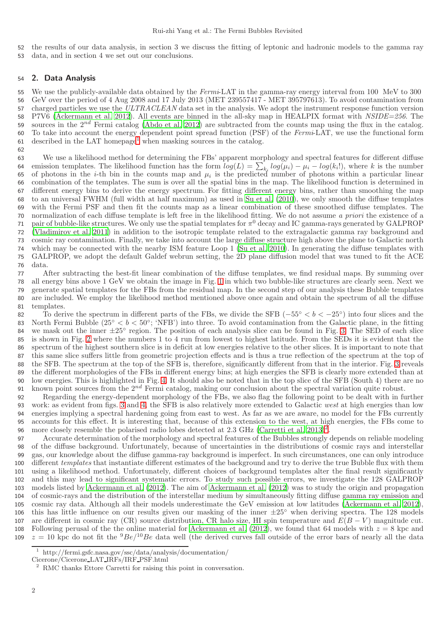the results of our data analysis, in section 3 we discuss the fitting of leptonic and hadronic models to the gamma ray data, and in section 4 we set out our conclusions.

## 2. Data Analysis

55 We use the publicly-available data obtained by the Fermi-LAT in the gamma-ray energy interval from 100 MeV to 300 GeV over the period of 4 Aug 2008 and 17 July 2013 (MET 239557417 - MET 395797613). To avoid contamination from 57 charged particles we use the ULTRACLEAN data set in the analysis. We adopt the instrument response function version P7V6 [\(Ackermann et al. 2012\)](#page-7-16). All events are binned in the all-sky map in HEALPIX format with NSIDE=256. The sources in the  $2^{nd}$  Fermi catalog [\(Abdo et al. 2012\)](#page-7-18) are subtracted from the counts map using the flux in the catalog. 60 To take into account the energy dependent point spread function (PSF) of the  $Fermi<sub>LAT</sub>$ , we use the functional form [1](#page-1-0) described in the LAT homepage<sup>1</sup> when masking sources in the catalog.

 We use a likelihood method for determining the FBs' apparent morphology and spectral features for different diffuse 64 emission templates. The likelihood function has the form  $log(L) = \sum_{k_i} log(\mu_i) - \mu_i - log(k_i!)$ , where k is the number 65 of photons in the *i*-th bin in the counts map and  $\mu_i$  is the predicted number of photons within a particular linear combination of the templates. The sum is over all the spatial bins in the map. The likelihood function is determined in different energy bins to derive the energy spectrum. For fitting different energy bins, rather than smoothing the map to an universal FWHM (full width at half maximum) as used in [Su et al. \(2010\)](#page-7-0), we only smooth the diffuse templates with the Fermi PSF and then fit the counts map as a linear combination of these smoothed diffuse templates. The normalization of each diffuse template is left free in the likelihood fitting. We do not assume a priori the existence of a 71 pair of bubble-like structures. We only use the spatial templates for  $\pi^0$  decay and IC gamma-rays generated by GALPROP [\(Vladimirov et al. 2011\)](#page-8-3) in addition to the isotropic template related to the extragalactic gamma ray background and cosmic ray contamination. Finally, we take into account the large diffuse structure high above the plane to Galactic north which may be connected with the nearby ISM feature Loop 1 [\(Su et al. 2010\)](#page-7-0). In generating the diffuse templates with GALPROP, we adopt the default Galdef webrun setting, the 2D plane diffusion model that was tuned to fit the ACE data.

 After subtracting the best-fit linear combination of the diffuse templates, we find residual maps. By summing over all energy bins above 1 GeV we obtain the image in Fig. [1](#page-2-0) in which two bubble-like structures are clearly seen. Next we generate spatial templates for the FBs from the residual map. In the second step of our analysis these Bubble templates are included. We employ the likelihood method mentioned above once again and obtain the spectrum of all the diffuse templates.

To derive the spectrum in different parts of the FBs, we divide the SFB  $(-55° < b < -25°)$  into four slices and the 83 North Fermi Bubble  $(25<sup>°</sup> < b < 50<sup>°</sup>; 'NFB')$  into three. To avoid contamination from the Galactic plane, in the fitting we mask out the inner  $\pm 25^{\circ}$  region. The position of each analysis slice can be found in Fig. [3.](#page-3-0) The SED of each slice is shown in Fig. [2](#page-2-1) where the numbers 1 to 4 run from lowest to highest latitude. From the SEDs it is evident that the spectrum of the highest southern slice is in deficit at low energies relative to the other slices. It is important to note that this same slice suffers little from geometric projection effects and is thus a true reflection of the spectrum at the top of the SFB. The spectrum at the top of the SFB is, therefore, significantly different from that in the interior. Fig. [3](#page-3-0) reveals the different morphologies of the FBs in different energy bins; at high energies the SFB is clearly more extended than at low energies. This is highlighted in Fig. [4.](#page-3-1) It should also be noted that in the top slice of the SFB (South 4) there are no 91 known point sources from the  $2^{nd}$  Fermi catalog, making our conclusion about the spectral variation quite robust.

 Regarding the energy-dependent morphology of the FBs, we also flag the following point to be dealt with in further work: as evident from figs. [3](#page-3-0) and [4,](#page-3-1) the SFB is also relatively more extended to Galactic west at high energies than low energies implying a spectral hardening going from east to west. As far as we are aware, no model for the FBs currently accounts for this effect. It is interesting that, because of this extension to the west, at high energies, the FBs come to 96 more closely resemble the polarised radio lobes detected at [2](#page-1-1).3 GHz (Carretti et al.  $(2013)^2$ ).

 Accurate determination of the morphology and spectral features of the Bubbles strongly depends on reliable modeling of the diffuse background. Unfortunately, because of uncertainties in the distributions of cosmic rays and interstellar gas, our knowledge about the diffuse gamma-ray background is imperfect. In such circumstances, one can only introduce 100 different templates that instantiate different estimates of the background and try to derive the true Bubble flux with them using a likelihood method. Unfortunately, different choices of background templates alter the final result significantly and this may lead to significant systematic errors. To study such possible errors, we investigate the 128 GALPROP models listed by [Ackermann et al. \(2012\)](#page-7-19). The aim of [Ackermann et al.](#page-7-19) [\(2012\)](#page-7-19) was to study the origin and propagation of cosmic-rays and the distribution of the interstellar medium by simultaneously fitting diffuse gamma ray emission and cosmic ray data. Although all their models underestimate the GeV emission at low latitudes [\(Ackermann et al. 2012](#page-7-19)), 106 this has little influence on our results given our masking of the inner  $\pm 25^\circ$  when deriving spectra. The 128 models 107 are different in cosmic ray (CR) source distribution, CR halo size, HI spin temperature and  $E(B - V)$  magnitude cut. 108 Following perusal of the the online material for [Ackermann et al. \(2012](#page-7-19)), we found that 64 models with  $z = 8$  kpc and  $z = 10$  kpc do not fit the  ${}^{9}Be/{}^{10}Be$  data well (the derived curves fall outside of the error bars of nearly all the data

 http://fermi.gsfc.nasa.gov/ssc/data/analysis/documentation/

Cicerone/Cicerone LAT IRFs/IRF PSF.html

<span id="page-1-1"></span><span id="page-1-0"></span>RMC thanks Ettore Carretti for raising this point in conversation.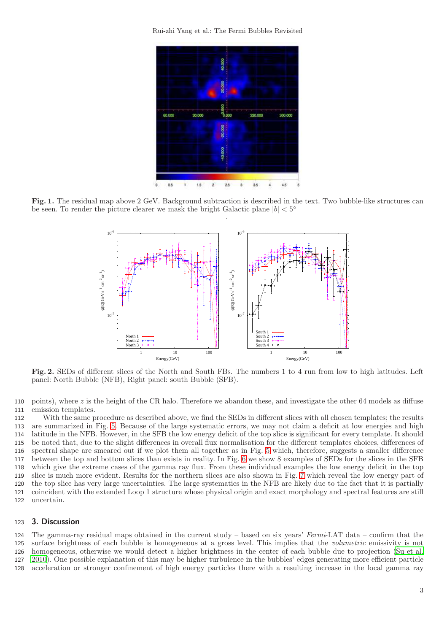Rui-zhi Yang et al.: The Fermi Bubbles Revisited



<span id="page-2-0"></span>Fig. 1. The residual map above 2 GeV. Background subtraction is described in the text. Two bubble-like structures can be seen. To render the picture clearer we mask the bright Galactic plane  $|b| < 5^{\circ}$ .



<span id="page-2-1"></span>Fig. 2. SEDs of different slices of the North and South FBs. The numbers 1 to 4 run from low to high latitudes. Left panel: North Bubble (NFB), Right panel: south Bubble (SFB).

110 points), where z is the height of the CR halo. Therefore we abandon these, and investigate the other 64 models as diffuse 111 emission templates.

 With the same procedure as described above, we find the SEDs in different slices with all chosen templates; the results are summarized in Fig. [5.](#page-3-2) Because of the large systematic errors, we may not claim a deficit at low energies and high latitude in the NFB. However, in the SFB the low energy deficit of the top slice is significant for every template. It should be noted that, due to the slight differences in overall flux normalisation for the different templates choices, differences of spectral shape are smeared out if we plot them all together as in Fig. [5](#page-3-2) which, therefore, suggests a smaller difference between the top and bottom slices than exists in reality. In Fig. [6](#page-4-0) we show 8 examples of SEDs for the slices in the SFB which give the extreme cases of the gamma ray flux. From these individual examples the low energy deficit in the top slice is much more evident. Results for the northern slices are also shown in Fig. [7](#page-5-0) which reveal the low energy part of the top slice has very large uncertainties. The large systematics in the NFB are likely due to the fact that it is partially coincident with the extended Loop 1 structure whose physical origin and exact morphology and spectral features are still uncertain.

# 123 3. Discussion

124 The gamma-ray residual maps obtained in the current study – based on six years' Fermi-LAT data – confirm that the surface brightness of each bubble is homogeneous at a gross level. This implies that the volumetric emissivity is not homogeneous, otherwise we would detect a higher brightness in the center of each bubble due to projection [\(Su et al.](#page-7-0) [2010](#page-7-0)). One possible explanation of this may be higher turbulence in the bubbles' edges generating more efficient particle acceleration or stronger confinement of high energy particles there with a resulting increase in the local gamma ray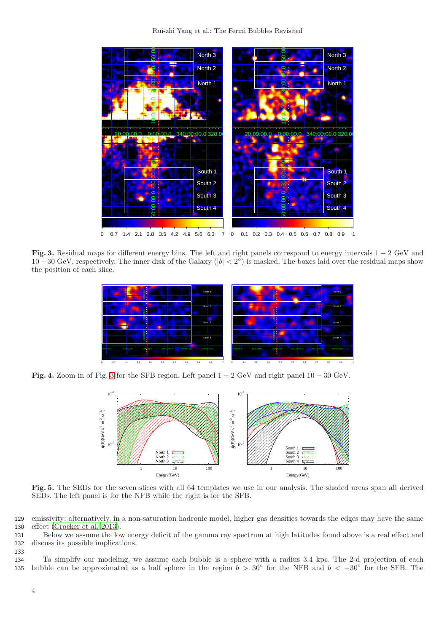

<span id="page-3-0"></span>Fig. 3. Residual maps for different energy bins. The left and right panels correspond to energy intervals 1 − 2 GeV and  $10-30 \text{ GeV}$ , respectively. The inner disk of the Galaxy (|b| < 2<sup>o</sup>) is masked. The boxes laid over the residual maps show the position of each slice.



<span id="page-3-1"></span>Fig. 4. Zoom in of Fig. [3](#page-3-0) for the SFB region. Left panel  $1 - 2$  GeV and right panel  $10 - 30$  GeV.



<span id="page-3-2"></span>Fig. 5. The SEDs for the seven slices with all 64 templates we use in our analysis. The shaded areas span all derived SEDs. The left panel is for the NFB while the right is for the SFB.

129 emissivity; alternatively, in a non-saturation hadronic model, higher gas densities towards the edges may have the same 130 effect [\(Crocker et al. 2013\)](#page-7-15).

131 Below we assume the low energy deficit of the gamma ray spectrum at high latitudes found above is a real effect and 132 discuss its possible implications.

134 To simplify our modeling, we assume each bubble is a sphere with a radius 3.4 kpc. The 2-d projection of each 135 bubble can be approximated as a half sphere in the region  $b > 30°$  for the NFB and  $b < -30°$  for the SFB. The

133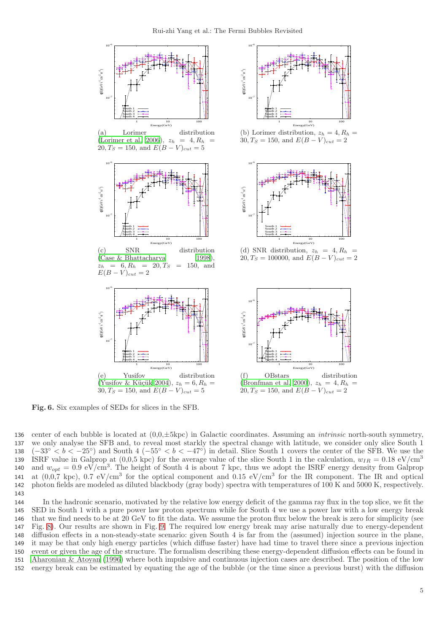

<span id="page-4-0"></span>Fig. 6. Six examples of SEDs for slices in the SFB.

136 center of each bubble is located at  $(0.0,\pm 5\text{kpc})$  in Galactic coordinates. Assuming an *intrinsic* north-south symmetry, 137 we only analyse the SFB and, to reveal most starkly the spectral change with latitude, we consider only slice South 1 138  $(-33° < b < -25°)$  and South 4  $(-55° < b < -47°)$  in detail. Slice South 1 covers the center of the SFB. We use the ISRF value in Galprop at  $(0.0,5 \text{ kpc})$  for the average value of the slice South 1 in the calculation,  $w_{IR} = 0.18 \text{ eV/cm}^3$ 139 140 and  $w_{opt} = 0.9 \text{ eV/cm}^3$ . The height of South 4 is about 7 kpc, thus we adopt the ISRF energy density from Galprop 141 at  $(0.0.7 \text{ kpc})$ ,  $0.7 \text{ eV/cm}^3$  for the optical component and  $0.15 \text{ eV/cm}^3$  for the IR component. The IR and optical 142 photon fields are modeled as diluted blackbody (gray body) spectra with temperatures of 100 K and 5000 K, respectively. 143

 In the hadronic scenario, motivated by the relative low energy deficit of the gamma ray flux in the top slice, we fit the SED in South 1 with a pure power law proton spectrum while for South 4 we use a power law with a low energy break that we find needs to be at 20 GeV to fit the data. We assume the proton flux below the break is zero for simplicity (see Fig. [8\)](#page-6-0). Our results are shown in Fig. [9.](#page-7-23) The required low energy break may arise naturally due to energy-dependent diffusion effects in a non-steady-state scenario: given South 4 is far from the (assumed) injection source in the plane, it may be that only high energy particles (which diffuse faster) have had time to travel there since a previous injection event or given the age of the structure. The formalism describing these energy-dependent diffusion effects can be found in [Aharonian & Atoyan \(1996\)](#page-7-24) where both impulsive and continuous injection cases are described. The position of the low energy break can be estimated by equating the age of the bubble (or the time since a previous burst) with the diffusion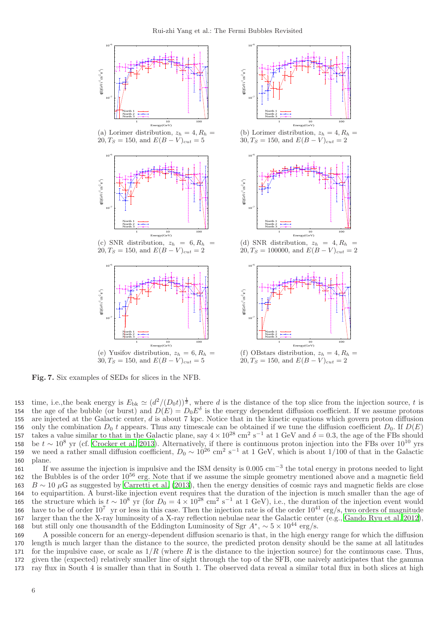

<span id="page-5-0"></span>Fig. 7. Six examples of SEDs for slices in the NFB.

153 time, i.e., the beak energy is  $E_{\text{bk}} \simeq (d^2/(D_0 t))^{\frac{1}{\delta}}$ , where d is the distance of the top slice from the injection source, t is 154 the age of the bubble (or burst) and  $D(E) = D_0 E^{\delta}$  is the energy dependent diffusion coefficient. If we assume protons 155 are injected at the Galactic center,  $d$  is about 7 kpc. Notice that in the kinetic equations which govern proton diffusion 156 only the combination  $D_0$  t appears. Thus any timescale can be obtained if we tune the diffusion coefficient  $D_0$ . If  $D(E)$ 157 takes a value similar to that in the Galactic plane, say  $4 \times 10^{28}$  cm<sup>2</sup> s<sup>-1</sup> at 1 GeV and  $\delta = 0.3$ , the age of the FBs should 158 be  $t \sim 10^8$  yr (cf. [Crocker et al. 2013\)](#page-7-15). Alternatively, if there is continuous proton injection into the FBs over  $10^{10}$  yrs 159 we need a rather small diffusion coefficient,  $D_0 \sim 10^{26}$  cm<sup>2</sup> s<sup>-1</sup> at 1 GeV, which is about 1/100 of that in the Galactic 160 plane.

161 If we assume the injection is impulsive and the ISM density is  $0.005 \text{ cm}^{-3}$  the total energy in protons needed to light the Bubbles is of the order  $10^{56}$  erg. Note that if we assume the simple geometry mentioned above and a magnetic field 163 B ∼ 10  $\mu$ G as suggested by [Carretti et al. \(2013](#page-7-8)), then the energy densities of cosmic rays and magnetic fields are close 164 to equipartition. A burst-like injection event requires that the duration of the injection is much smaller than the age of 165 the structure which is  $t \sim 10^8$  yr (for  $D_0 = 4 \times 10^{28}$  cm<sup>2</sup> s<sup>-1</sup> at 1 GeV), i.e., the duration of the injection event would 166 have to be of order  $10^7$  yr or less in this case. Then the injection rate is of the order  $10^{41}$  erg/s, two orders of magnitude 167 larger than the the X-ray luminosity of a X-ray reflection nebulae near the Galactic center (e.g., [Gando Ryu et al. 2012](#page-7-25)), 168 but still only one thousandth of the Eddington Luminosity of Sgr  $A^*$ , ~ 5 × 10<sup>44</sup> erg/s.

 A possible concern for an energy-dependent diffusion scenario is that, in the high energy range for which the diffusion length is much larger than the distance to the source, the predicted proton density should be the same at all latitudes 171 for the impulsive case, or scale as  $1/R$  (where R is the distance to the injection source) for the continuous case. Thus, given the (expected) relatively smaller line of sight through the top of the SFB, one naively anticipates that the gamma ray flux in South 4 is smaller than that in South 1. The observed data reveal a similar total flux in both slices at high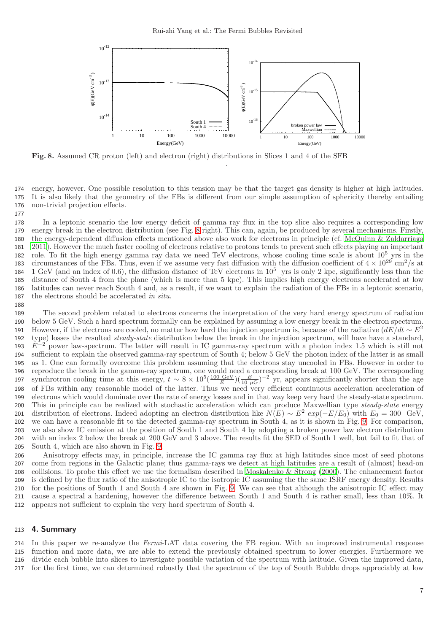

<span id="page-6-0"></span>Fig. 8. Assumed CR proton (left) and electron (right) distributions in Slices 1 and 4 of the SFB

 energy, however. One possible resolution to this tension may be that the target gas density is higher at high latitudes. It is also likely that the geometry of the FBs is different from our simple assumption of sphericity thereby entailing non-trivial projection effects.

.

 In a leptonic scenario the low energy deficit of gamma ray flux in the top slice also requires a corresponding low energy break in the electron distribution (see Fig. [8](#page-6-0) right). This can, again, be produced by several mechanisms. Firstly, the energy-dependent diffusion effects mentioned above also work for electrons in principle (cf. [McQuinn & Zaldarriaga](#page-7-26) [2011](#page-7-26)). However the much faster cooling of electrons relative to protons tends to prevent such effects playing an important 182 role. To fit the high energy gamma ray data we need TeV electrons, whose cooling time scale is about  $10^5$  yrs in the 183 circumstances of the FBs. Thus, even if we assume very fast diffusion with the diffusion coefficient of  $4 \times 10^{29}$  cm<sup>2</sup>/s at 184 1 GeV (and an index of 0.6), the diffusion distance of TeV electrons in  $10^5$  yrs is only 2 kpc, significantly less than the distance of South 4 from the plane (which is more than 5 kpc). This implies high energy electrons accelerated at low latitudes can never reach South 4 and, as a result, if we want to explain the radiation of the FBs in a leptonic scenario, the electrons should be accelerated in situ.

 The second problem related to electrons concerns the interpretation of the very hard energy spectrum of radiation below 5 GeV. Such a hard spectrum formally can be explained by assuming a low energy break in the electron spectrum. However, if the electrons are cooled, no matter how hard the injection spectrum is, because of the radiative  $(dE/dt \sim E^2)$  type) losses the resulted steady-state distribution below the break in the injection spectrum, will have have a standard,  $E^{-2}$  power law-spectrum. The latter will result in IC gamma-ray spectrum with a photon index 1.5 which is still not sufficient to explain the observed gamma-ray spectrum of South 4; below 5 GeV the photon index of the latter is as small as 1. One can formally overcome this problem assuming that the electrons stay uncooled in FBs. However in order to reproduce the break in the gamma-ray spectrum, one would need a corresponding break at 100 GeV. The corresponding synchrotron cooling time at this energy,  $t \sim 8 \times 10^5 \left(\frac{100 \text{ GeV}}{E}\right)$ 197 synchrotron cooling time at this energy,  $t \sim 8 \times 10^5 \left( \frac{100 \text{ GeV}}{E} \right) \left( \frac{B}{10 \mu \text{G}} \right)^{-2}$  yr, appears significantly shorter than the age of FBs within any reasonable model of the latter. Thus we need very efficient continuous acceleration acceleration of electrons which would dominate over the rate of energy losses and in that way keep very hard the steady-state spectrum. 200 This in principle can be realized with stochastic acceleration which can produce Maxwellian type steady-state energy 201 distribution of electrons. Indeed adopting an electron distribution like  $N(E) \sim E^2 exp(-E/E_0)$  with  $E_0 = 300$  GeV, we can have a reasonable fit to the detected gamma-ray spectrum in South 4, as it is shown in Fig. [9.](#page-7-23) For comparison, we also show IC emission at the position of South 1 and South 4 by adopting a broken power law electron distribution with an index 2 below the break at 200 GeV and 3 above. The results fit the SED of South 1 well, but fail to fit that of South 4, which are also shown in Fig. [9.](#page-7-23)

 Anisotropy effects may, in principle, increase the IC gamma ray flux at high latitudes since most of seed photons come from regions in the Galactic plane; thus gamma-rays we detect at high latitudes are a result of (almost) head-on collisions. To probe this effect we use the formalism described in [Moskalenko & Strong \(2000\)](#page-7-27). The enhancement factor is defined by the flux ratio of the anisotropic IC to the isotropic IC assuming the the same ISRF energy density. Results for the positions of South 1 and South 4 are shown in Fig. [9.](#page-7-23) We can see that although the anisotropic IC effect may cause a spectral a hardening, however the difference between South 1 and South 4 is rather small, less than 10%. It appears not sufficient to explain the very hard spectrum of South 4.

### 4. Summary

 In this paper we re-analyze the Fermi-LAT data covering the FB region. With an improved instrumental response function and more data, we are able to extend the previously obtained spectrum to lower energies. Furthermore we divide each bubble into slices to investigate possible variation of the spectrum with latitude. Given the improved data, for the first time, we can determined robustly that the spectrum of the top of South Bubble drops appreciably at low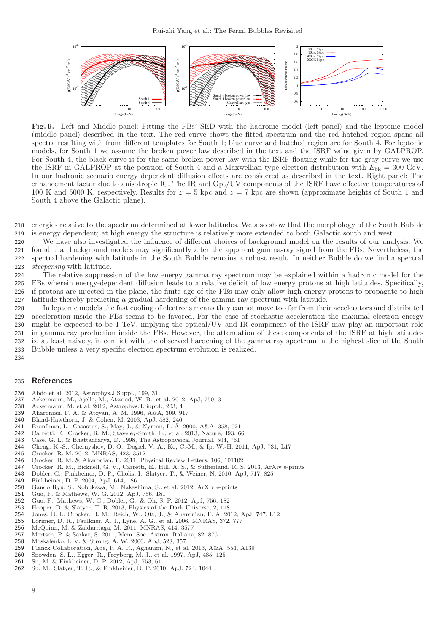

<span id="page-7-23"></span>Fig. 9. Left and Middle panel: Fitting the FBs' SED with the hadronic model (left panel) and the leptonic model (middle panel) described in the text. The red curve shows the fitted spectrum and the red hatched region spans all spectra resulting with from different templates for South 1; blue curve and hatched region are for South 4. For leptonic models, for South 1 we assume the broken power law described in the text and the ISRF value given by GALPROP. For South 4, the black curve is for the same broken power law with the ISRF floating while for the gray curve we use the ISRF in GALPROP at the position of South 4 and a Maxwellian type electron distribution with  $E_{\rm bk} = 300$  GeV. In our hadronic scenario energy dependent diffusion effects are considered as described in the text. Right panel: The enhancement factor due to anisotropic IC. The IR and Opt/UV components of the ISRF have effective temperatures of 100 K and 5000 K, respectively. Results for  $z = 5$  kpc and  $z = 7$  kpc are shown (approximate heights of South 1 and South 4 above the Galactic plane).

218 energies relative to the spectrum determined at lower latitudes. We also show that the morphology of the South Bubble 219 is energy dependent; at high energy the structure is relatively more extended to both Galactic south and west.

 We have also investigated the influence of different choices of background model on the results of our analysis. We found that background models may significantly alter the apparent gamma-ray signal from the FBs. Nevertheless, the spectral hardening with latitude in the South Bubble remains a robust result. In neither Bubble do we find a spectral steepening with latitude.

 The relative suppression of the low energy gamma ray spectrum may be explained within a hadronic model for the FBs wherein energy-dependent diffusion leads to a relative deficit of low energy protons at high latitudes. Specifically, if protons are injected in the plane, the finite age of the FBs may only allow high energy protons to propagate to high latitude thereby predicting a gradual hardening of the gamma ray spectrum with latitude.

 In leptonic models the fast cooling of electrons means they cannot move too far from their accelerators and distributed acceleration inside the FBs seems to be favored. For the case of stochastic acceleration the maximal electron energy might be expected to be 1 TeV, implying the optical/UV and IR component of the ISRF may play an important role in gamma ray production inside the FBs. However, the attenuation of these components of the ISRF at high latitudes is, at least naively, in conflict with the observed hardening of the gamma ray spectrum in the highest slice of the South Bubble unless a very specific electron spectrum evolution is realized. 234

#### 235 References

- <span id="page-7-18"></span>236 Abdo et al. 2012, Astrophys.J.Suppl., 199, 31
- <span id="page-7-19"></span>237 Ackermann, M., Ajello, M., Atwood, W. B., et al. 2012, ApJ, 750, 3<br>238 Ackermann, M. et al. 2012, Astrophys.J.Suppl., 203, 4
- <span id="page-7-16"></span>238 Ackermann, M. et al. 2012, Astrophys.J.Suppl., 203, 4<br>239 Aharonian, F. A. & Atoyan, A. M. 1996, A&A, 309, 9.
- <span id="page-7-24"></span>239 Aharonian, F. A. & Atoyan, A. M. 1996, A&A, 309, 917<br>240 Bland-Hawthorn, J. & Cohen, M. 2003, ApJ, 582, 246
- <span id="page-7-6"></span>240 Bland-Hawthorn, J. & Cohen, M. 2003, ApJ, 582, 246
- <span id="page-7-22"></span>241 Bronfman, L., Casassus, S., May, J., & Nyman, L.-Å. 2000, A&A, 358, 521
- <span id="page-7-8"></span>242 Carretti, E., Crocker, R. M., Staveley-Smith, L., et al. 2013, Nature, 493, 66
- <span id="page-7-21"></span>243 Case, G. L. & Bhattacharya, D. 1998, The Astrophysical Journal, 504, 761<br>244 Cheng, K.-S., Chernyshov, D. O., Dogiel, V. A., Ko, C.-M., & Ip, W.-H. 20
- <span id="page-7-9"></span>244 Cheng, K.-S., Chernyshov, D. O., Dogiel, V. A., Ko, C.-M., & Ip, W.-H. 2011, ApJ, 731, L17
- <span id="page-7-12"></span>245 Crocker, R. M. 2012, MNRAS, 423, 3512<br>246 Crocker, R. M. & Aharonian, F. 2011, P.
- <span id="page-7-11"></span>246 Crocker, R. M. & Aharonian, F. 2011, Physical Review Letters, 106, 101102<br>247 Crocker B. M. Bicknell G. V. Carretti E. Hill A. S. & Sutherland B. S.
- <span id="page-7-15"></span>247 Crocker, R. M., Bicknell, G. V., Carretti, E., Hill, A. S., & Sutherland, R. S. 2013, ArXiv e-prints
- <span id="page-7-1"></span>248 Dobler, G., Finkbeiner, D. P., Cholis, I., Slatyer, T., & Weiner, N. 2010, ApJ, 717, 825
- <span id="page-7-3"></span>Finkbeiner, D. P. 2004, ApJ, 614, 186
- <span id="page-7-25"></span>250 Gando Ryu, S., Nobukawa, M., Nakashima, S., et al. 2012, ArXiv e-prints
- <span id="page-7-13"></span>251 Guo, F. & Mathews, W. G. 2012, ApJ, 756, 181<br>252 Guo, F. Mathews, W. G. Dobler, G. & Ob, S.
- <span id="page-7-14"></span>252 Guo, F., Mathews, W. G., Dobler, G., & Oh, S. P. 2012, ApJ, 756, 182
- <span id="page-7-17"></span>253 Hooper, D. & Slatyer, T. R. 2013, Physics of the Dark Universe, 2, 118
- <span id="page-7-5"></span>254 Jones, D. I., Crocker, R. M., Reich, W., Ott, J., & Aharonian, F. A. 2012, ApJ, 747, L12
- <span id="page-7-20"></span>255 Lorimer, D. R., Faulkner, A. J., Lyne, A. G., et al. 2006, MNRAS, 372, 777<br>256 McQuinn, M. & Zaldarriaga, M. 2011, MNRAS, 414, 3577
- <span id="page-7-26"></span>256 McQuinn, M. & Zaldarriaga, M. 2011, MNRAS, 414, 3577
- <span id="page-7-10"></span>257 Mertsch, P. & Sarkar, S. 2011, Mem. Soc. Astron. Italiana, 82, 876
- <span id="page-7-27"></span>258 Moskalenko, I. V. & Strong, A. W. 2000, ApJ, 528, 357
- <span id="page-7-4"></span>259 Planck Collaboration, Ade, P. A. R., Aghanim, N., et al. 2013, A&A, 554, A139<br>260 Snowden, S. L., Egger, R., Freyberg, M. J., et al. 1997, Ap.J. 485, 125
- <span id="page-7-7"></span>260 Snowden, S. L., Egger, R., Freyberg, M. J., et al. 1997, ApJ, 485, 125<br>261 Su. M. & Finkbeiner, D. P. 2012. ApJ, 753, 61
- <span id="page-7-2"></span>261 Su, M. & Finkbeiner, D. P. 2012, ApJ, 753, 61
- <span id="page-7-0"></span>262 Su, M., Slatyer, T. R., & Finkbeiner, D. P. 2010, ApJ, 724, 1044